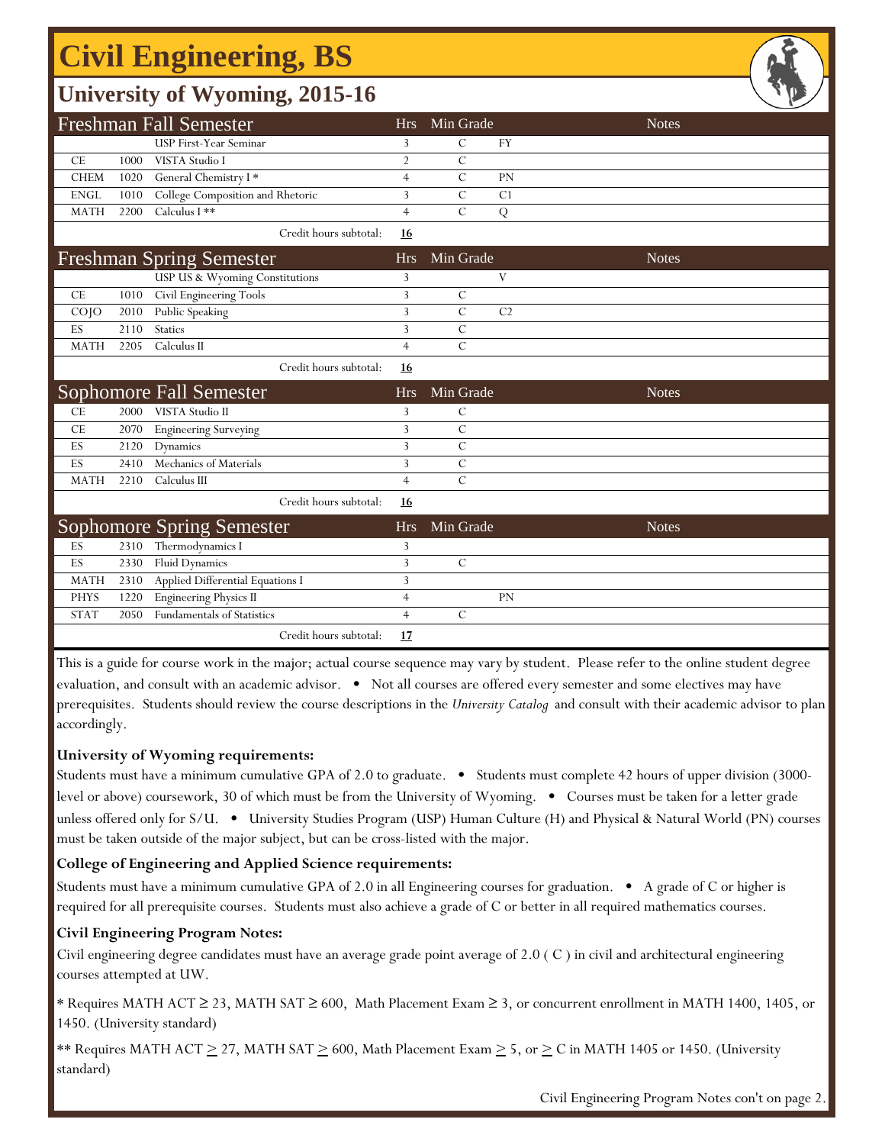# **Civil Engineering, BS**

## **University of Wyoming, 2015-16**

|                 |      | Ö                                                    |                |                |                | $\overline{\phantom{0}}$ |  |
|-----------------|------|------------------------------------------------------|----------------|----------------|----------------|--------------------------|--|
|                 |      | <b>Freshman Fall Semester</b>                        | <b>Hrs</b>     | Min Grade      |                | <b>Notes</b>             |  |
|                 |      | <b>USP First-Year Seminar</b>                        | 3              | C              | FY             |                          |  |
| CE              | 1000 | VISTA Studio I                                       | $\overline{2}$ | $\mathcal{C}$  |                |                          |  |
| <b>CHEM</b>     | 1020 | General Chemistry I*                                 | $\overline{4}$ | $\mathcal{C}$  | PN             |                          |  |
| <b>ENGL</b>     | 1010 | College Composition and Rhetoric                     | 3              | $\mathcal{C}$  | C <sub>1</sub> |                          |  |
| <b>MATH</b>     | 2200 | Calculus I **                                        | $\overline{4}$ | $\mathcal{C}$  | ${\bf Q}$      |                          |  |
|                 |      | Credit hours subtotal:                               | 16             |                |                |                          |  |
|                 |      | <b>Freshman Spring Semester</b>                      | <b>Hrs</b>     | Min Grade      |                | <b>Notes</b>             |  |
|                 |      | USP US & Wyoming Constitutions                       | 3              |                | V              |                          |  |
| <b>CE</b>       | 1010 | Civil Engineering Tools                              | 3              | C              |                |                          |  |
| CO <sub>1</sub> | 2010 | Public Speaking                                      | 3              | $\mathcal{C}$  | C <sub>2</sub> |                          |  |
| ES              | 2110 | <b>Statics</b>                                       | 3              | $\overline{C}$ |                |                          |  |
| <b>MATH</b>     | 2205 | Calculus II                                          | $\overline{4}$ | $\mathcal{C}$  |                |                          |  |
|                 |      | Credit hours subtotal:                               | 16             |                |                |                          |  |
|                 |      |                                                      |                |                |                |                          |  |
|                 |      | Sophomore Fall Semester                              | <b>Hrs</b>     | Min Grade      |                | <b>Notes</b>             |  |
| CE              | 2000 | VISTA Studio II                                      | 3              | $\mathsf{C}$   |                |                          |  |
| <b>CE</b>       | 2070 | <b>Engineering Surveying</b>                         | 3              | $\mathcal{C}$  |                |                          |  |
| ES              | 2120 | Dynamics                                             | 3              | $\overline{C}$ |                |                          |  |
| ES              | 2410 | Mechanics of Materials                               | 3              | $\mathbf C$    |                |                          |  |
| <b>MATH</b>     | 2210 | Calculus III                                         | $\overline{4}$ | $\overline{C}$ |                |                          |  |
|                 |      | Credit hours subtotal:                               | 16             |                |                |                          |  |
|                 |      |                                                      | <b>Hrs</b>     | Min Grade      |                | <b>Notes</b>             |  |
| ES              | 2310 | <b>Sophomore Spring Semester</b><br>Thermodynamics I | 3              |                |                |                          |  |
| ES              | 2330 | <b>Fluid Dynamics</b>                                | 3              | $\mathcal{C}$  |                |                          |  |
| <b>MATH</b>     | 2310 | Applied Differential Equations I                     | 3              |                |                |                          |  |
| <b>PHYS</b>     | 1220 | <b>Engineering Physics II</b>                        | $\overline{4}$ |                | PN             |                          |  |
| <b>STAT</b>     | 2050 | <b>Fundamentals of Statistics</b>                    | $\overline{4}$ | $\mathcal{C}$  |                |                          |  |

This is a guide for course work in the major; actual course sequence may vary by student. Please refer to the online student degree evaluation, and consult with an academic advisor. • Not all courses are offered every semester and some electives may have prerequisites. Students should review the course descriptions in the *University Catalog* and consult with their academic advisor to plan accordingly.

#### **University of Wyoming requirements:**

Students must have a minimum cumulative GPA of 2.0 to graduate. • Students must complete 42 hours of upper division (3000 level or above) coursework, 30 of which must be from the University of Wyoming. • Courses must be taken for a letter grade unless offered only for S/U. • University Studies Program (USP) Human Culture (H) and Physical & Natural World (PN) courses must be taken outside of the major subject, but can be cross-listed with the major.

### **College of Engineering and Applied Science requirements:**

Students must have a minimum cumulative GPA of 2.0 in all Engineering courses for graduation. • A grade of C or higher is required for all prerequisite courses. Students must also achieve a grade of C or better in all required mathematics courses.

### **Civil Engineering Program Notes:**

Civil engineering degree candidates must have an average grade point average of 2.0 ( C ) in civil and architectural engineering courses attempted at UW.

\* Requires MATH ACT ≥ 23, MATH SAT ≥ 600, Math Placement Exam ≥ 3, or concurrent enrollment in MATH 1400, 1405, or 1450. (University standard)

\*\* Requires MATH ACT  $\geq$  27, MATH SAT  $\geq$  600, Math Placement Exam  $\geq$  5, or  $\geq$  C in MATH 1405 or 1450. (University standard)